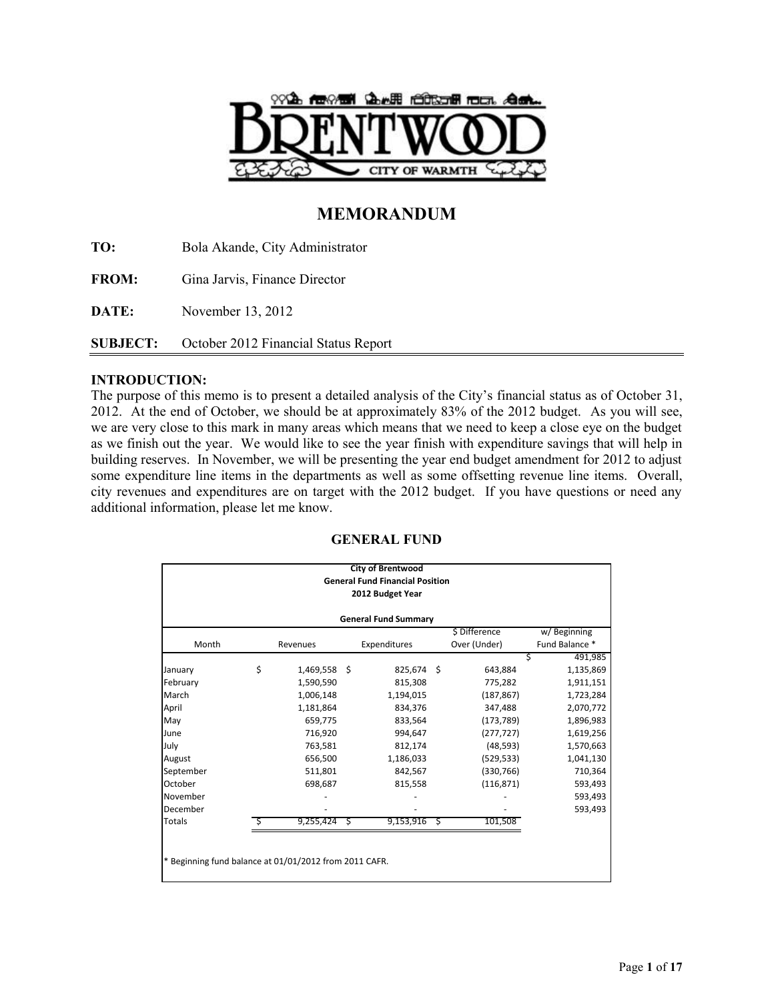

# **MEMORANDUM**

**TO:** Bola Akande, City Administrator **FROM:** Gina Jarvis, Finance Director **DATE:** November 13, 2012 **SUBJECT:** October 2012 Financial Status Report

## **INTRODUCTION:**

The purpose of this memo is to present a detailed analysis of the City's financial status as of October 31, 2012. At the end of October, we should be at approximately 83% of the 2012 budget. As you will see, we are very close to this mark in many areas which means that we need to keep a close eye on the budget as we finish out the year. We would like to see the year finish with expenditure savings that will help in building reserves. In November, we will be presenting the year end budget amendment for 2012 to adjust some expenditure line items in the departments as well as some offsetting revenue line items. Overall, city revenues and expenditures are on target with the 2012 budget. If you have questions or need any additional information, please let me know.

|                                                        |                  |              |   | <b>City of Brentwood</b>               |    |               |                |  |  |  |  |
|--------------------------------------------------------|------------------|--------------|---|----------------------------------------|----|---------------|----------------|--|--|--|--|
|                                                        |                  |              |   | <b>General Fund Financial Position</b> |    |               |                |  |  |  |  |
|                                                        | 2012 Budget Year |              |   |                                        |    |               |                |  |  |  |  |
| <b>General Fund Summary</b>                            |                  |              |   |                                        |    |               |                |  |  |  |  |
|                                                        |                  |              |   |                                        |    | \$ Difference | w/Beginning    |  |  |  |  |
| Month                                                  |                  | Revenues     |   | Expenditures                           |    | Over (Under)  | Fund Balance * |  |  |  |  |
|                                                        |                  |              |   |                                        |    |               | Ś<br>491,985   |  |  |  |  |
| January                                                | \$               | 1,469,558 \$ |   | 825,674 \$                             |    | 643,884       | 1,135,869      |  |  |  |  |
| February                                               |                  | 1,590,590    |   | 815,308                                |    | 775,282       | 1,911,151      |  |  |  |  |
| March                                                  |                  | 1,006,148    |   | 1,194,015                              |    | (187, 867)    | 1,723,284      |  |  |  |  |
| April                                                  |                  | 1,181,864    |   | 834,376                                |    | 347,488       | 2,070,772      |  |  |  |  |
| May                                                    |                  | 659,775      |   | 833,564                                |    | (173, 789)    | 1,896,983      |  |  |  |  |
| June                                                   |                  | 716,920      |   | 994,647                                |    | (277, 727)    | 1,619,256      |  |  |  |  |
| July                                                   |                  | 763,581      |   | 812,174                                |    | (48, 593)     | 1,570,663      |  |  |  |  |
| August                                                 |                  | 656,500      |   | 1,186,033                              |    | (529, 533)    | 1,041,130      |  |  |  |  |
| September                                              |                  | 511,801      |   | 842,567                                |    | (330, 766)    | 710,364        |  |  |  |  |
| October                                                |                  | 698,687      |   | 815,558                                |    | (116, 871)    | 593,493        |  |  |  |  |
| November                                               |                  |              |   |                                        |    |               | 593,493        |  |  |  |  |
| December                                               |                  |              |   |                                        |    |               | 593,493        |  |  |  |  |
| <b>Totals</b>                                          |                  | 9,255,424    | S | 9,153,916                              | \$ | 101.508       |                |  |  |  |  |
|                                                        |                  |              |   |                                        |    |               |                |  |  |  |  |
|                                                        |                  |              |   |                                        |    |               |                |  |  |  |  |
| * Beginning fund balance at 01/01/2012 from 2011 CAFR. |                  |              |   |                                        |    |               |                |  |  |  |  |
|                                                        |                  |              |   |                                        |    |               |                |  |  |  |  |

## **GENERAL FUND**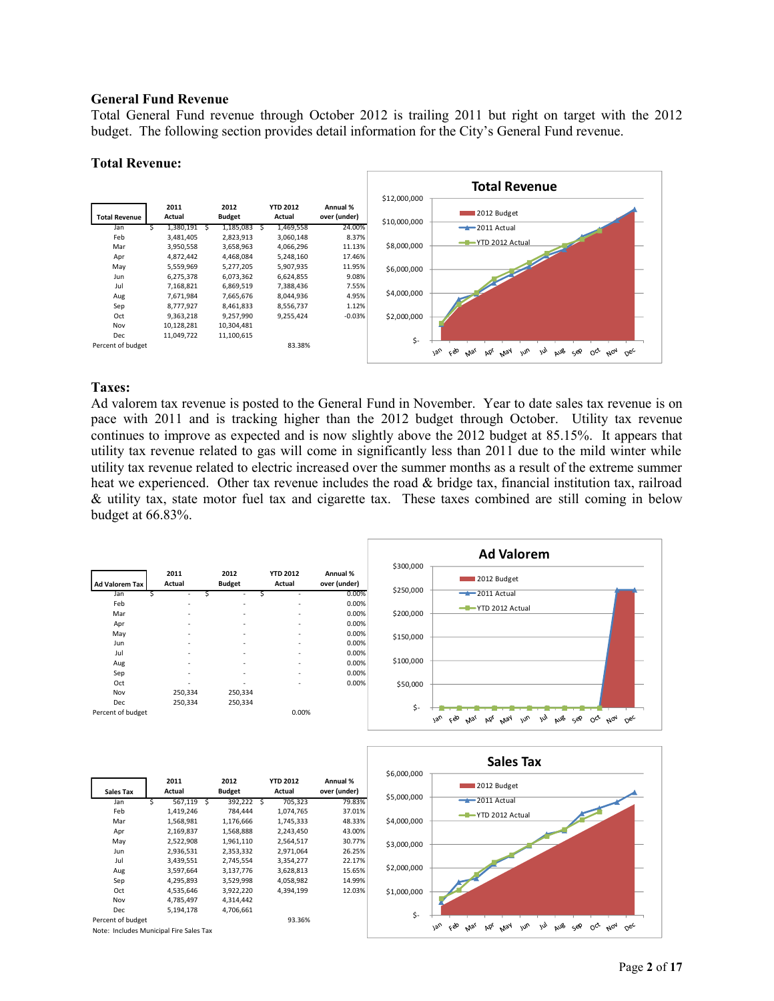#### **General Fund Revenue**

Total General Fund revenue through October 2012 is trailing 2011 but right on target with the 2012 budget. The following section provides detail information for the City's General Fund revenue.

#### **Total Revenue:**



#### **Taxes:**

Percent of budget 93.36%

Note: Includes Municipal Fire Sales Tax

Ad valorem tax revenue is posted to the General Fund in November. Year to date sales tax revenue is on pace with 2011 and is tracking higher than the 2012 budget through October. Utility tax revenue continues to improve as expected and is now slightly above the 2012 budget at 85.15%. It appears that utility tax revenue related to gas will come in significantly less than 2011 due to the mild winter while utility tax revenue related to electric increased over the summer months as a result of the extreme summer heat we experienced. Other tax revenue includes the road & bridge tax, financial institution tax, railroad & utility tax, state motor fuel tax and cigarette tax. These taxes combined are still coming in below budget at 66.83%.



 $\overline{\mathsf{S}}$ -

Jan feb was p.ps way jun jul pub sep oct wol oec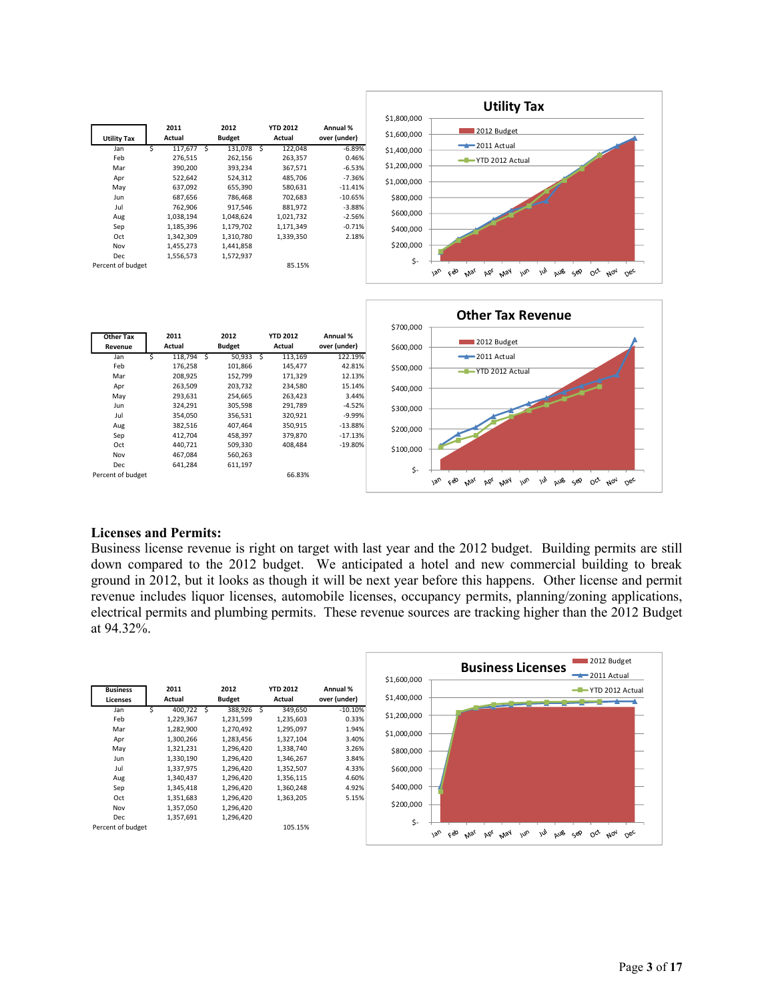



#### **Licenses and Permits:**

Business license revenue is right on target with last year and the 2012 budget. Building permits are still down compared to the 2012 budget. We anticipated a hotel and new commercial building to break ground in 2012, but it looks as though it will be next year before this happens. Other license and permit revenue includes liquor licenses, automobile licenses, occupancy permits, planning/zoning applications, electrical permits and plumbing permits. These revenue sources are tracking higher than the 2012 Budget at 94.32%.

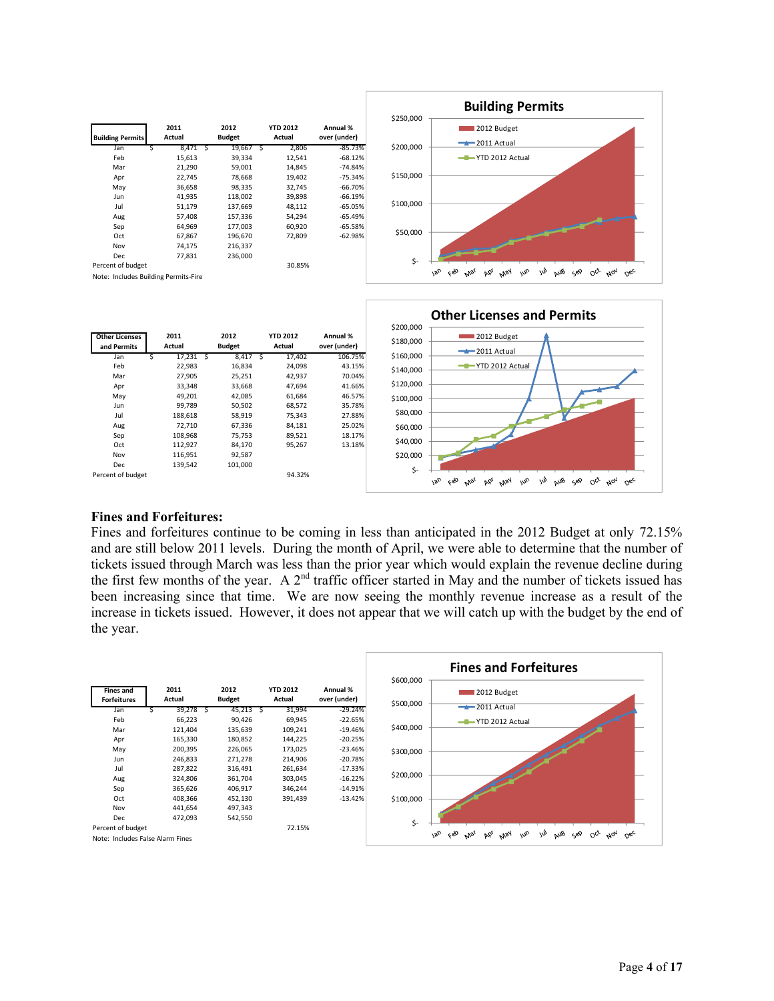



#### **Fines and Forfeitures:**

Fines and forfeitures continue to be coming in less than anticipated in the 2012 Budget at only 72.15% and are still below 2011 levels. During the month of April, we were able to determine that the number of tickets issued through March was less than the prior year which would explain the revenue decline during the first few months of the year. A  $2<sup>nd</sup>$  traffic officer started in May and the number of tickets issued has been increasing since that time. We are now seeing the monthly revenue increase as a result of the increase in tickets issued. However, it does not appear that we will catch up with the budget by the end of the year.

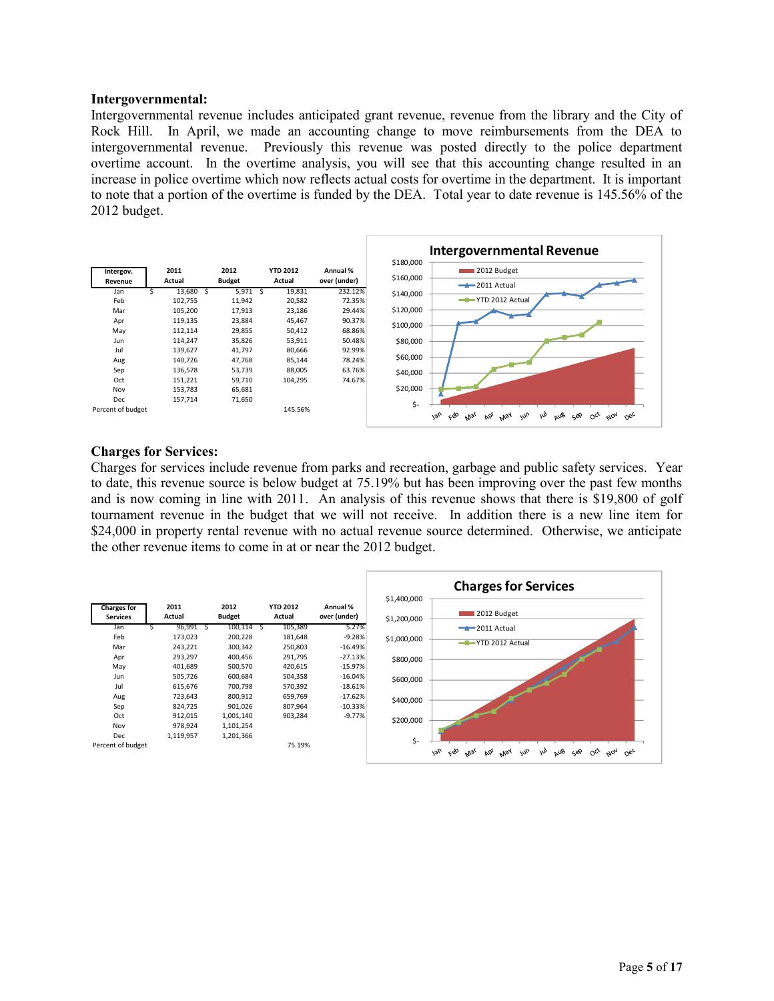#### **Intergovernmental:**

Intergovernmental revenue includes anticipated grant revenue, revenue from the library and the City of Rock Hill. In April, we made an accounting change to move reimbursements from the DEA to intergovernmental revenue. Previously this revenue was posted directly to the police department overtime account. In the overtime analysis, you will see that this accounting change resulted in an increase in police overtime which now reflects actual costs for overtime in the department. It is important to note that a portion of the overtime is funded by the DEA. Total year to date revenue is 145.56% of the 2012 budget.



#### **Charges for Services:**

Charges for services include revenue from parks and recreation, garbage and public safety services. Year to date, this revenue source is below budget at 75.19% but has been improving over the past few months and is now coming in line with 2011. An analysis of this revenue shows that there is \$19,800 of golf tournament revenue in the budget that we will not receive. In addition there is a new line item for \$24,000 in property rental revenue with no actual revenue source determined. Otherwise, we anticipate the other revenue items to come in at or near the 2012 budget.

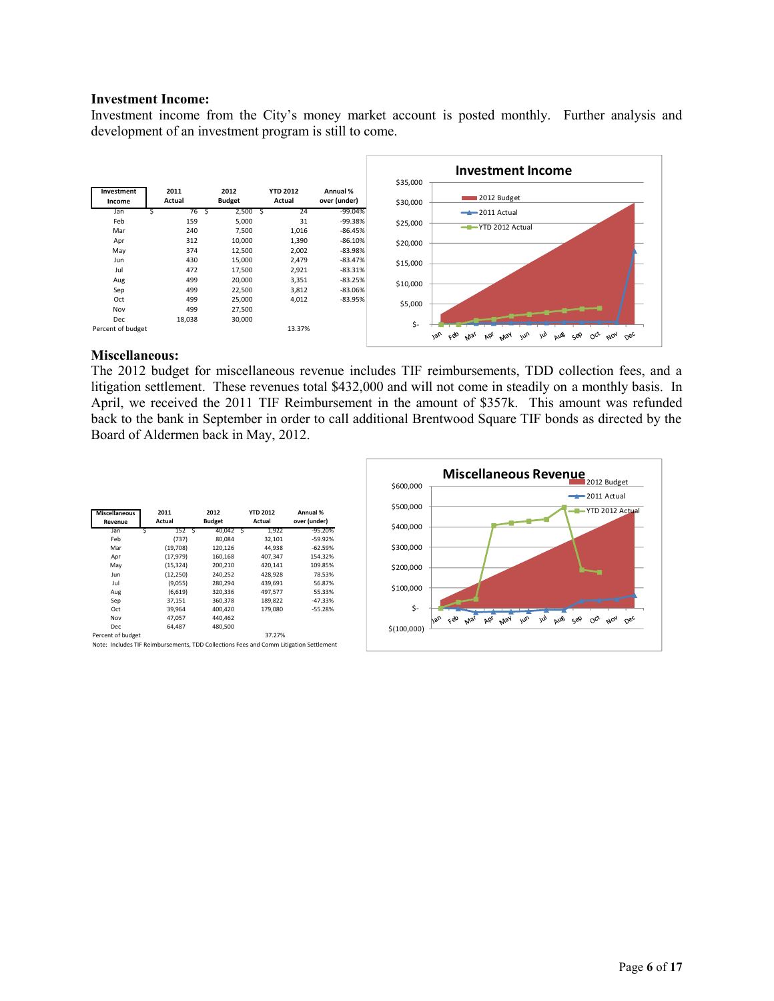#### **Investment Income:**

Investment income from the City's money market account is posted monthly. Further analysis and development of an investment program is still to come.



#### **Miscellaneous:**

The 2012 budget for miscellaneous revenue includes TIF reimbursements, TDD collection fees, and a litigation settlement. These revenues total \$432,000 and will not come in steadily on a monthly basis. In April, we received the 2011 TIF Reimbursement in the amount of \$357k. This amount was refunded back to the bank in September in order to call additional Brentwood Square TIF bonds as directed by the Board of Aldermen back in May, 2012.

| <b>Miscellaneous</b><br>Revenue | 2011<br>Actual | 2012<br><b>Budget</b> | <b>YTD 2012</b><br>Actual | Annual %<br>over (under) |
|---------------------------------|----------------|-----------------------|---------------------------|--------------------------|
| Jan<br>S                        | 152 S          | 40,042 \$             | 1,922                     | $-95.20%$                |
| Feb                             | (737)          | 80.084                | 32,101                    | $-59.92%$                |
| Mar                             | (19,708)       | 120,126               | 44,938                    | $-62.59%$                |
| Apr                             | (17, 979)      | 160,168               | 407,347                   | 154.32%                  |
| May                             | (15, 324)      | 200,210               | 420,141                   | 109.85%                  |
| Jun                             | (12, 250)      | 240.252               | 428.928                   | 78.53%                   |
| Jul                             | (9,055)        | 280.294               | 439.691                   | 56.87%                   |
| Aug                             | (6,619)        | 320,336               | 497,577                   | 55.33%                   |
| Sep                             | 37,151         | 360,378               | 189,822                   | $-47.33%$                |
| Oct                             | 39,964         | 400.420               | 179.080                   | $-55.28%$                |
| Nov                             | 47.057         | 440.462               |                           |                          |
| Dec                             | 64.487         | 480.500               |                           |                          |
| Percent of budget               |                |                       | 37.27%                    |                          |

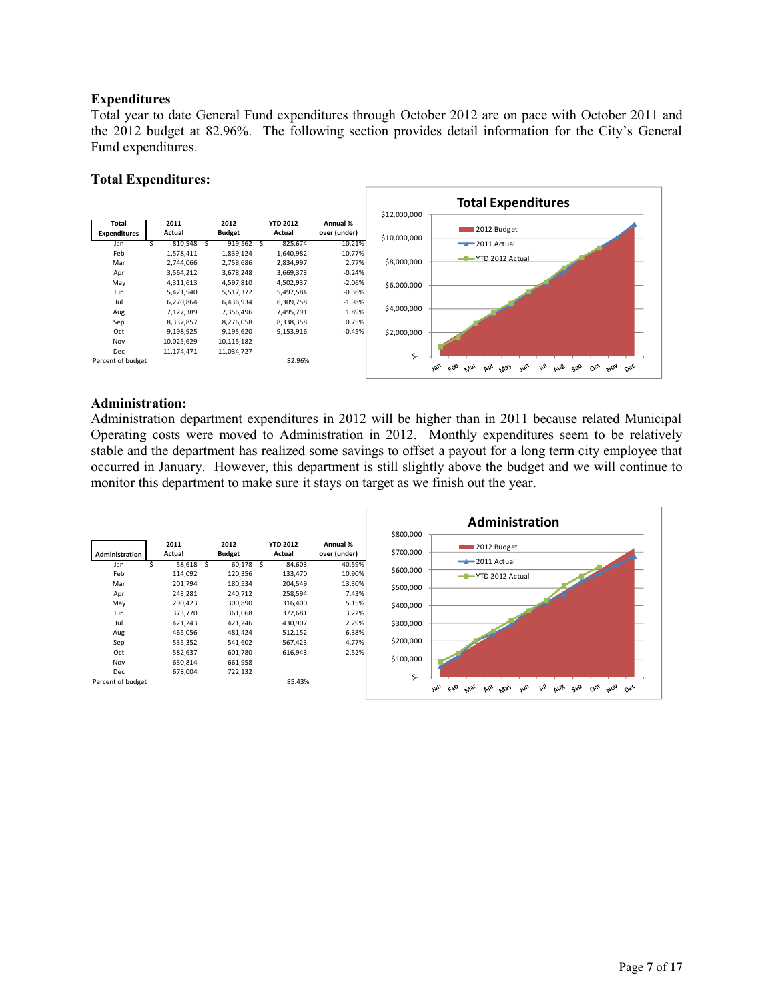## **Expenditures**

Total year to date General Fund expenditures through October 2012 are on pace with October 2011 and the 2012 budget at 82.96%. The following section provides detail information for the City's General Fund expenditures.

## **Total Expenditures:**



## **Administration:**

Administration department expenditures in 2012 will be higher than in 2011 because related Municipal Operating costs were moved to Administration in 2012. Monthly expenditures seem to be relatively stable and the department has realized some savings to offset a payout for a long term city employee that occurred in January. However, this department is still slightly above the budget and we will continue to monitor this department to make sure it stays on target as we finish out the year.

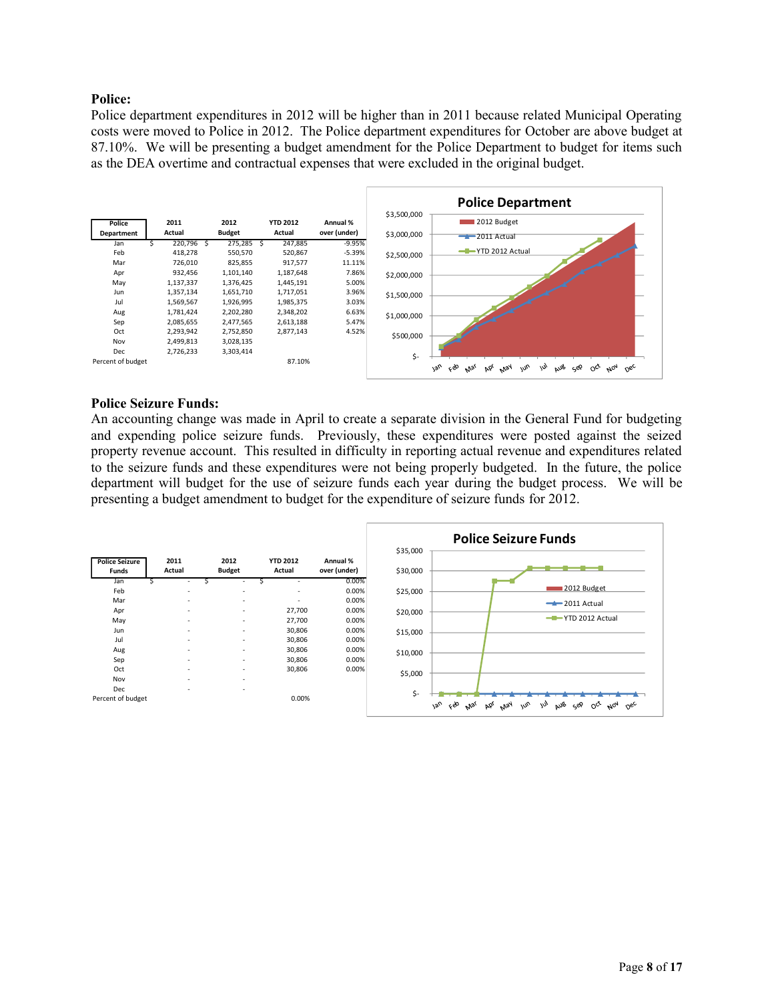## **Police:**

Police department expenditures in 2012 will be higher than in 2011 because related Municipal Operating costs were moved to Police in 2012. The Police department expenditures for October are above budget at 87.10%. We will be presenting a budget amendment for the Police Department to budget for items such as the DEA overtime and contractual expenses that were excluded in the original budget.



#### **Police Seizure Funds:**

An accounting change was made in April to create a separate division in the General Fund for budgeting and expending police seizure funds. Previously, these expenditures were posted against the seized property revenue account. This resulted in difficulty in reporting actual revenue and expenditures related to the seizure funds and these expenditures were not being properly budgeted. In the future, the police department will budget for the use of seizure funds each year during the budget process. We will be presenting a budget amendment to budget for the expenditure of seizure funds for 2012.

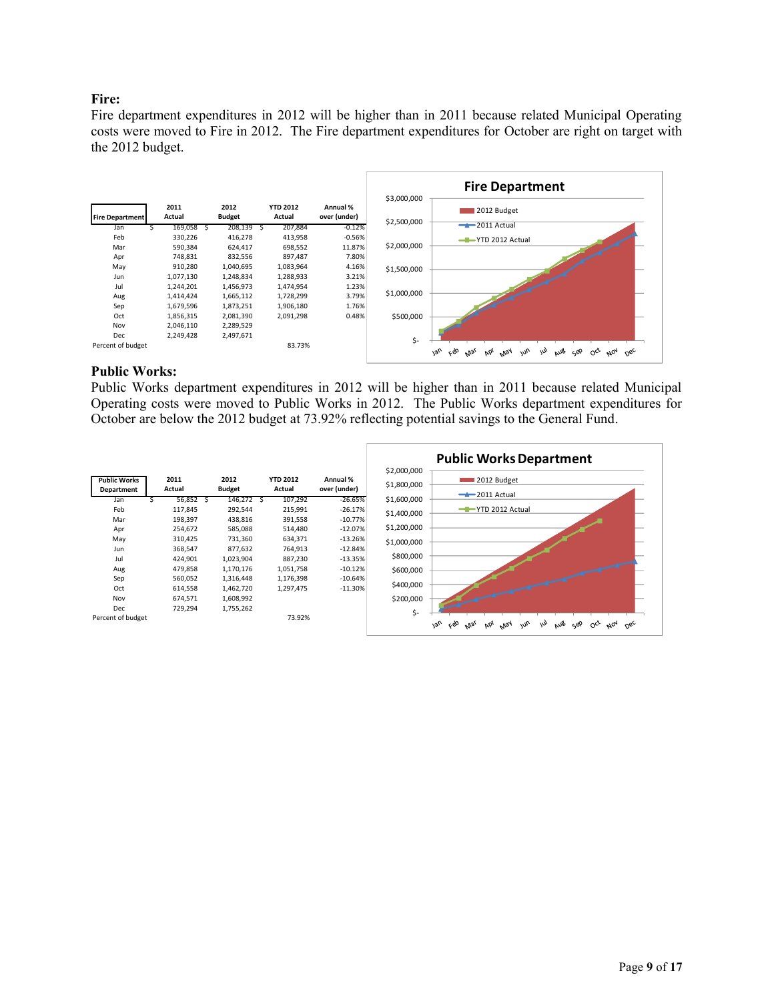## **Fire:**

Fire department expenditures in 2012 will be higher than in 2011 because related Municipal Operating costs were moved to Fire in 2012. The Fire department expenditures for October are right on target with the 2012 budget.



#### **Public Works:**

Public Works department expenditures in 2012 will be higher than in 2011 because related Municipal Operating costs were moved to Public Works in 2012. The Public Works department expenditures for October are below the 2012 budget at 73.92% reflecting potential savings to the General Fund.

|                                   |                |   |                       |                           |                          |                            | <b>Public Works Department</b>                                                                                                                     |
|-----------------------------------|----------------|---|-----------------------|---------------------------|--------------------------|----------------------------|----------------------------------------------------------------------------------------------------------------------------------------------------|
| <b>Public Works</b><br>Department | 2011<br>Actual |   | 2012<br><b>Budget</b> | <b>YTD 2012</b><br>Actual | Annual %<br>over (under) | \$2,000,000<br>\$1,800,000 | 2012 Budget                                                                                                                                        |
| Jan                               | 56,852         | ь | 146,272 \$            | 107,292                   | $-26.65%$                | \$1,600,000                | $-2011$ Actual                                                                                                                                     |
| Feb                               | 117,845        |   | 292,544               | 215,991                   | $-26.17%$                | \$1,400,000                | YTD 2012 Actual<br>--                                                                                                                              |
| Mar                               | 198,397        |   | 438,816               | 391,558                   | $-10.77%$                |                            |                                                                                                                                                    |
| Apr                               | 254,672        |   | 585,088               | 514,480                   | $-12.07%$                | \$1,200,000                |                                                                                                                                                    |
| May                               | 310,425        |   | 731,360               | 634,371                   | $-13.26%$                | \$1,000,000                |                                                                                                                                                    |
| Jun                               | 368,547        |   | 877,632               | 764,913                   | $-12.84%$                |                            |                                                                                                                                                    |
| Jul                               | 424,901        |   | 1,023,904             | 887,230                   | $-13.35%$                | \$800,000                  |                                                                                                                                                    |
| Aug                               | 479,858        |   | 1,170,176             | 1,051,758                 | $-10.12%$                | \$600,000                  |                                                                                                                                                    |
| Sep                               | 560,052        |   | 1,316,448             | 1,176,398                 | $-10.64%$                |                            |                                                                                                                                                    |
| Oct                               | 614,558        |   | 1,462,720             | 1,297,475                 | $-11.30%$                | \$400,000                  |                                                                                                                                                    |
| Nov                               | 674,571        |   | 1,608,992             |                           |                          | \$200,000                  |                                                                                                                                                    |
| <b>Dec</b>                        | 729,294        |   | 1,755,262             |                           |                          | \$-                        |                                                                                                                                                    |
| Percent of budget                 |                |   |                       | 73.92%                    |                          |                            | çeo<br>$180^{\circ}$<br>aus<br>$N^{04}$<br>May<br>m <sub>o</sub><br>$O_{C_{\mathcal{C}}}$<br>nec<br>$\omega$<br>حروب<br>$M_{\mathcal{D}_I}$<br>Þó, |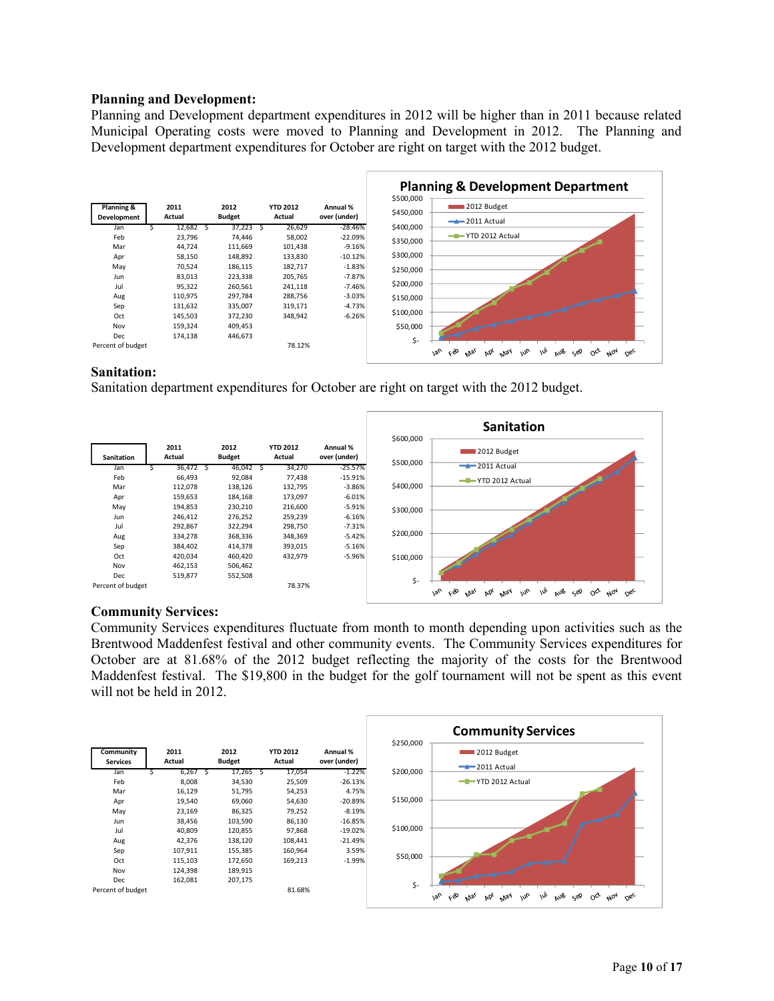#### **Planning and Development:**

Planning and Development department expenditures in 2012 will be higher than in 2011 because related Municipal Operating costs were moved to Planning and Development in 2012. The Planning and Development department expenditures for October are right on target with the 2012 budget.



## **Sanitation:**

Sanitation department expenditures for October are right on target with the 2012 budget.



## **Community Services:**

Community Services expenditures fluctuate from month to month depending upon activities such as the Brentwood Maddenfest festival and other community events. The Community Services expenditures for October are at 81.68% of the 2012 budget reflecting the majority of the costs for the Brentwood Maddenfest festival. The \$19,800 in the budget for the golf tournament will not be spent as this event will not be held in 2012.

|                              |                |                       |                           |                          |           | <b>Community Services</b>                                                                                                                     |
|------------------------------|----------------|-----------------------|---------------------------|--------------------------|-----------|-----------------------------------------------------------------------------------------------------------------------------------------------|
| Community<br><b>Services</b> | 2011<br>Actual | 2012<br><b>Budget</b> | <b>YTD 2012</b><br>Actual | Annual %<br>over (under) | \$250,000 | 2012 Budget<br>$-2011$ Actual                                                                                                                 |
| Jan                          | 6,267          | 17,265                | 17,054                    | $-1.22%$                 | \$200,000 |                                                                                                                                               |
| Feb                          | 8,008          | 34,530                | 25,509                    | $-26.13%$                |           | -T-YTD 2012 Actual                                                                                                                            |
| Mar                          | 16,129         | 51,795                | 54,253                    | 4.75%                    |           |                                                                                                                                               |
| Apr                          | 19,540         | 69,060                | 54,630                    | $-20.89%$                | \$150,000 |                                                                                                                                               |
| May                          | 23,169         | 86,325                | 79,252                    | $-8.19%$                 |           |                                                                                                                                               |
| Jun                          | 38,456         | 103,590               | 86,130                    | $-16.85%$                |           |                                                                                                                                               |
| Jul                          | 40,809         | 120,855               | 97,868                    | $-19.02%$                | \$100,000 |                                                                                                                                               |
| Aug                          | 42,376         | 138,120               | 108,441                   | $-21.49%$                |           |                                                                                                                                               |
| Sep                          | 107,911        | 155,385               | 160,964                   | 3.59%                    |           |                                                                                                                                               |
| Oct                          | 115,103        | 172,650               | 169,213                   | $-1.99%$                 | \$50,000  |                                                                                                                                               |
| Nov                          | 124,398        | 189,915               |                           |                          |           |                                                                                                                                               |
| Dec                          | 162,081        | 207,175               |                           |                          |           |                                                                                                                                               |
| Percent of budget            |                |                       | 81.68%                    |                          | \$-       | 1an<br>ceo<br>$\mu_{\nu}$<br>m<br>AUB<br>ςeΡ<br>May<br>$A_{07}$<br>$\sigma_{\rm sc}$<br><b>DOL</b><br>$\circ^{\alpha}$<br>$M_{\mathcal{Q}_I}$ |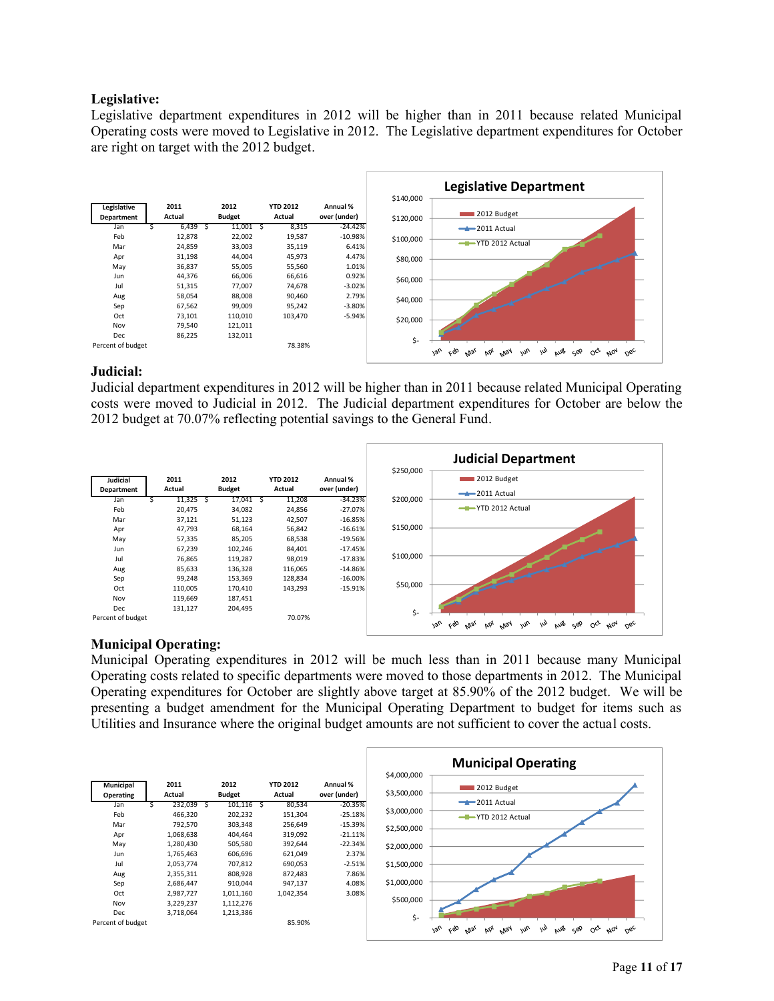## **Legislative:**

Legislative department expenditures in 2012 will be higher than in 2011 because related Municipal Operating costs were moved to Legislative in 2012. The Legislative department expenditures for October are right on target with the 2012 budget.



## **Judicial:**

Judicial department expenditures in 2012 will be higher than in 2011 because related Municipal Operating costs were moved to Judicial in 2012. The Judicial department expenditures for October are below the 2012 budget at 70.07% reflecting potential savings to the General Fund.



## **Municipal Operating:**

Municipal Operating expenditures in 2012 will be much less than in 2011 because many Municipal Operating costs related to specific departments were moved to those departments in 2012. The Municipal Operating expenditures for October are slightly above target at 85.90% of the 2012 budget. We will be presenting a budget amendment for the Municipal Operating Department to budget for items such as Utilities and Insurance where the original budget amounts are not sufficient to cover the actual costs.

|                               |                |     |                       |                           |                          |                            | <b>Municipal Operating</b>                                                                                                                           |
|-------------------------------|----------------|-----|-----------------------|---------------------------|--------------------------|----------------------------|------------------------------------------------------------------------------------------------------------------------------------------------------|
| <b>Municipal</b><br>Operating | 2011<br>Actual |     | 2012<br><b>Budget</b> | <b>YTD 2012</b><br>Actual | Annual %<br>over (under) | \$4,000,000<br>\$3,500,000 | 2012 Budget                                                                                                                                          |
| Jan                           | 232,039        | \$. | $101,116$ \$          | 80,534                    | $-20.35%$                |                            | $-2011$ Actual                                                                                                                                       |
| Feb                           | 466,320        |     | 202,232               | 151,304                   | $-25.18%$                | \$3,000,000                | -T-YTD 2012 Actual                                                                                                                                   |
| Mar                           | 792,570        |     | 303,348               | 256,649                   | $-15.39%$                | \$2,500,000                |                                                                                                                                                      |
| Apr                           | 1,068,638      |     | 404,464               | 319,092                   | $-21.11%$                |                            |                                                                                                                                                      |
| May                           | 1,280,430      |     | 505,580               | 392,644                   | $-22.34%$                | \$2,000,000                |                                                                                                                                                      |
| Jun                           | 1,765,463      |     | 606,696               | 621,049                   | 2.37%                    |                            |                                                                                                                                                      |
| Jul                           | 2,053,774      |     | 707,812               | 690,053                   | $-2.51%$                 | \$1,500,000                |                                                                                                                                                      |
| Aug                           | 2,355,311      |     | 808,928               | 872,483                   | 7.86%                    |                            |                                                                                                                                                      |
| Sep                           | 2,686,447      |     | 910,044               | 947,137                   | 4.08%                    | \$1,000,000                |                                                                                                                                                      |
| Oct                           | 2,987,727      |     | 1,011,160             | 1,042,354                 | 3.08%                    |                            |                                                                                                                                                      |
| Nov                           | 3,229,237      |     | 1,112,276             |                           |                          | \$500,000                  |                                                                                                                                                      |
| Dec                           | 3,718,064      |     | 1,213,386             |                           |                          |                            |                                                                                                                                                      |
| Percent of budget             |                |     |                       | 85.90%                    |                          | \$-                        | aus<br>ceo.<br>$M_{\text{N}}$<br>m <sub>o</sub><br>$v_{\varrho_U}$<br>m<br>$O_{C_f}$ $N_{O_f}$<br>ςeρ<br>$O_{6c}$<br>bb <sub>l</sub><br>$M_{\rm 94}$ |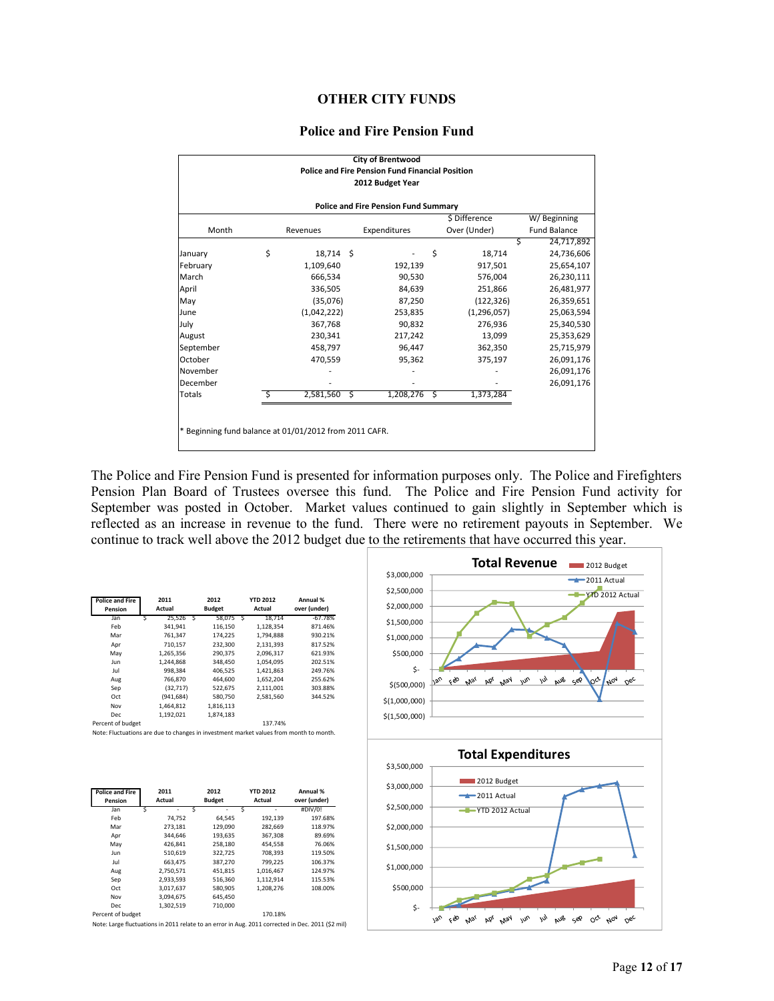#### **OTHER CITY FUNDS**

#### **Police and Fire Pension Fund**

|                                                        |    |             |   | <b>City of Brentwood</b><br><b>Police and Fire Pension Fund Financial Position</b> |    |               |                     |  |  |
|--------------------------------------------------------|----|-------------|---|------------------------------------------------------------------------------------|----|---------------|---------------------|--|--|
|                                                        |    |             |   | 2012 Budget Year                                                                   |    |               |                     |  |  |
| <b>Police and Fire Pension Fund Summary</b>            |    |             |   |                                                                                    |    |               |                     |  |  |
|                                                        |    |             |   |                                                                                    |    | \$ Difference | W/Beginning         |  |  |
| Month                                                  |    | Revenues    |   | Expenditures                                                                       |    | Over (Under)  | <b>Fund Balance</b> |  |  |
|                                                        |    |             |   |                                                                                    |    | Ś             | 24,717,892          |  |  |
| January                                                | \$ | 18,714 \$   |   |                                                                                    | \$ | 18.714        | 24,736,606          |  |  |
| February                                               |    | 1,109,640   |   | 192,139                                                                            |    | 917,501       | 25,654,107          |  |  |
| March                                                  |    | 666.534     |   | 90.530                                                                             |    | 576,004       | 26,230,111          |  |  |
| April                                                  |    | 336,505     |   | 84,639                                                                             |    | 251,866       | 26,481,977          |  |  |
| May                                                    |    | (35,076)    |   | 87,250                                                                             |    | (122, 326)    | 26,359,651          |  |  |
| June                                                   |    | (1,042,222) |   | 253,835                                                                            |    | (1, 296, 057) | 25,063,594          |  |  |
| July                                                   |    | 367,768     |   | 90,832                                                                             |    | 276,936       | 25,340,530          |  |  |
| August                                                 |    | 230,341     |   | 217,242                                                                            |    | 13,099        | 25,353,629          |  |  |
| September                                              |    | 458,797     |   | 96,447                                                                             |    | 362,350       | 25,715,979          |  |  |
| October                                                |    | 470,559     |   | 95,362                                                                             |    | 375,197       | 26,091,176          |  |  |
| November                                               |    |             |   |                                                                                    |    |               | 26,091,176          |  |  |
| December                                               |    |             |   |                                                                                    |    |               | 26,091,176          |  |  |
| Totals                                                 |    | 2,581,560   | S | 1,208,276                                                                          | S  | 1,373,284     |                     |  |  |
|                                                        |    |             |   |                                                                                    |    |               |                     |  |  |
|                                                        |    |             |   |                                                                                    |    |               |                     |  |  |
| * Beginning fund balance at 01/01/2012 from 2011 CAFR. |    |             |   |                                                                                    |    |               |                     |  |  |
|                                                        |    |             |   |                                                                                    |    |               |                     |  |  |

The Police and Fire Pension Fund is presented for information purposes only. The Police and Firefighters Pension Plan Board of Trustees oversee this fund. The Police and Fire Pension Fund activity for September was posted in October. Market values continued to gain slightly in September which is reflected as an increase in revenue to the fund. There were no retirement payouts in September. We continue to track well above the 2012 budget due to the retirements that have occurred this year.

| <b>Police and Fire</b><br>Pension |   | 2011<br>Actual |   | 2012<br><b>Budget</b> |   | <b>YTD 2012</b><br>Actual | Annual %<br>over (under) |
|-----------------------------------|---|----------------|---|-----------------------|---|---------------------------|--------------------------|
| Jan                               | Ś | 25.526         | Ś | 58.075                | Ś | 18.714                    | $-67.78%$                |
| Feb                               |   | 341.941        |   | 116,150               |   | 1,128,354                 | 871.46%                  |
| Mar                               |   | 761,347        |   | 174.225               |   | 1.794.888                 | 930.21%                  |
| Apr                               |   | 710.157        |   | 232.300               |   | 2.131.393                 | 817.52%                  |
| May                               |   | 1.265.356      |   | 290.375               |   | 2.096.317                 | 621.93%                  |
| Jun                               |   | 1.244.868      |   | 348,450               |   | 1.054.095                 | 202.51%                  |
| Jul                               |   | 998,384        |   | 406,525               |   | 1,421,863                 | 249.76%                  |
| Aug                               |   | 766.870        |   | 464.600               |   | 1.652.204                 | 255.62%                  |
| Sep                               |   | (32, 717)      |   | 522,675               |   | 2.111.001                 | 303.88%                  |
| Oct                               |   | (941, 684)     |   | 580,750               |   | 2,581,560                 | 344.52%                  |
| Nov                               |   | 1,464,812      |   | 1.816.113             |   |                           |                          |
| Dec                               |   | 1.192.021      |   | 1.874.183             |   |                           |                          |
| Percent of budget                 |   |                |   |                       |   | 137.74%                   |                          |

Note: Fluctuations are due to changes in investment market values from month to month.

| <b>Police and Fire</b><br>Pension | 2011<br>Actual | 2012<br><b>Budget</b> | <b>YTD 2012</b><br>Actual | Annual %<br>over (under) |
|-----------------------------------|----------------|-----------------------|---------------------------|--------------------------|
| Jan                               | Ś<br>٠         | Ś                     | Ś<br>۰                    | #DIV/0!                  |
| Feb                               | 74.752         | 64.545                | 192,139                   | 197.68%                  |
| Mar                               | 273.181        | 129.090               | 282.669                   | 118.97%                  |
| Apr                               | 344.646        | 193,635               | 367,308                   | 89.69%                   |
| May                               | 426.841        | 258,180               | 454.558                   | 76.06%                   |
| Jun                               | 510.619        | 322.725               | 708.393                   | 119.50%                  |
| Jul                               | 663.475        | 387,270               | 799,225                   | 106.37%                  |
| Aug                               | 2.750.571      | 451.815               | 1.016.467                 | 124.97%                  |
| Sep                               | 2,933,593      | 516,360               | 1,112,914                 | 115.53%                  |
| Oct                               | 3,017,637      | 580,905               | 1.208.276                 | 108.00%                  |
| Nov                               | 3,094,675      | 645,450               |                           |                          |
| <b>Dec</b>                        | 1,302,519      | 710.000               |                           |                          |
| Percent of budget                 |                |                       | 170.18%                   |                          |

Note: Large fluctuations in 2011 relate to an error in Aug. 2011 corrected in Dec. 2011 (\$2 mil)

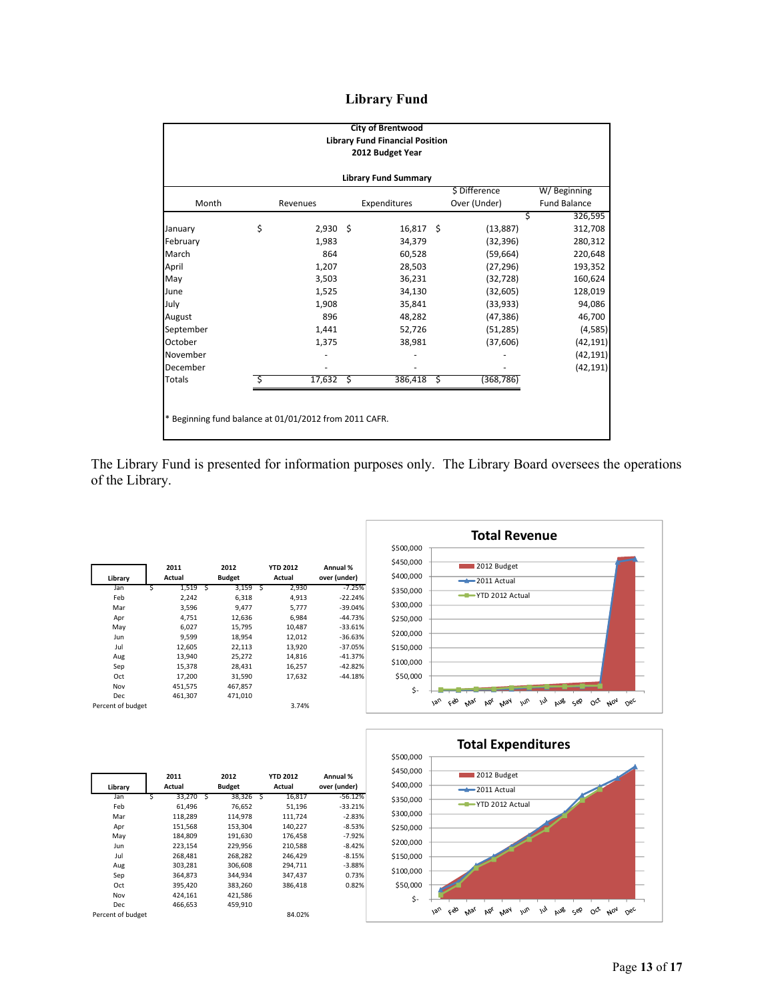## **Library Fund**

| <b>City of Brentwood</b><br><b>Library Fund Financial Position</b><br>2012 Budget Year |    |            |      |              |      |               |                     |  |  |
|----------------------------------------------------------------------------------------|----|------------|------|--------------|------|---------------|---------------------|--|--|
| <b>Library Fund Summary</b>                                                            |    |            |      |              |      |               |                     |  |  |
|                                                                                        |    |            |      |              |      | \$ Difference | W/Beginning         |  |  |
| Month                                                                                  |    | Revenues   |      | Expenditures |      | Over (Under)  | <b>Fund Balance</b> |  |  |
|                                                                                        |    |            |      |              |      |               | 326,595<br>\$       |  |  |
| January                                                                                | \$ | $2,930$ \$ |      | $16,817$ \$  |      | (13, 887)     | 312,708             |  |  |
| February                                                                               |    | 1.983      |      | 34,379       |      | (32, 396)     | 280,312             |  |  |
| March                                                                                  |    | 864        |      | 60,528       |      | (59, 664)     | 220,648             |  |  |
| April                                                                                  |    | 1,207      |      | 28,503       |      | (27, 296)     | 193,352             |  |  |
| May                                                                                    |    | 3,503      |      | 36,231       |      | (32, 728)     | 160,624             |  |  |
| June                                                                                   |    | 1,525      |      | 34,130       |      | (32, 605)     | 128,019             |  |  |
| July                                                                                   |    | 1,908      |      | 35,841       |      | (33, 933)     | 94,086              |  |  |
| August                                                                                 |    | 896        |      | 48,282       |      | (47, 386)     | 46,700              |  |  |
| September                                                                              |    | 1,441      |      | 52,726       |      | (51, 285)     | (4, 585)            |  |  |
| October                                                                                |    | 1,375      |      | 38,981       |      | (37,606)      | (42, 191)           |  |  |
| November                                                                               |    |            |      |              |      |               | (42, 191)           |  |  |
| December                                                                               |    |            |      |              |      |               | (42, 191)           |  |  |
| <b>Totals</b>                                                                          | Ś  | 17,632     | - \$ | 386,418      | - \$ | (368, 786)    |                     |  |  |
|                                                                                        |    |            |      |              |      |               |                     |  |  |
| * Beginning fund balance at 01/01/2012 from 2011 CAFR.                                 |    |            |      |              |      |               |                     |  |  |

The Library Fund is presented for information purposes only. The Library Board oversees the operations of the Library.

|                   |   | 2011    |   | 2012          |     | <b>YTD 2012</b> | Annual %     |
|-------------------|---|---------|---|---------------|-----|-----------------|--------------|
| Library           |   | Actual  |   | <b>Budget</b> |     | Actual          | over (under) |
| Jan               | Ś | 1,519   | S | 3,159         | - S | 2,930           | $-7.25%$     |
| Feb               |   | 2.242   |   | 6,318         |     | 4,913           | $-22.24%$    |
| Mar               |   | 3,596   |   | 9,477         |     | 5,777           | $-39.04%$    |
| Apr               |   | 4,751   |   | 12,636        |     | 6,984           | $-44.73%$    |
| May               |   | 6,027   |   | 15,795        |     | 10,487          | $-33.61%$    |
| Jun               |   | 9.599   |   | 18,954        |     | 12,012          | $-36.63%$    |
| Jul               |   | 12,605  |   | 22,113        |     | 13,920          | $-37.05%$    |
| Aug               |   | 13,940  |   | 25,272        |     | 14,816          | $-41.37%$    |
| Sep               |   | 15,378  |   | 28,431        |     | 16,257          | $-42.82%$    |
| Oct               |   | 17,200  |   | 31,590        |     | 17,632          | $-44.18%$    |
| Nov               |   | 451,575 |   | 467,857       |     |                 |              |
| Dec               |   | 461,307 |   | 471,010       |     |                 |              |
| Percent of budget |   |         |   |               |     | 3.74%           |              |





| Library           |   | 2011<br>Actual |                         | 2012<br><b>Budget</b> |     | <b>YTD 2012</b><br>Actual | Annual %<br>over (under) |
|-------------------|---|----------------|-------------------------|-----------------------|-----|---------------------------|--------------------------|
| Jan               | Ś | 33,270         | $\overline{\mathsf{S}}$ | 38,326                | -\$ | 16,817                    | $-56.12%$                |
| Feb               |   | 61,496         |                         | 76,652                |     | 51,196                    | $-33.21%$                |
| Mar               |   | 118,289        |                         | 114,978               |     | 111,724                   | $-2.83%$                 |
| Apr               |   | 151,568        |                         | 153,304               |     | 140.227                   | $-8.53%$                 |
| May               |   | 184,809        |                         | 191,630               |     | 176,458                   | $-7.92%$                 |
| Jun               |   | 223,154        |                         | 229,956               |     | 210,588                   | $-8.42%$                 |
| Jul               |   | 268,481        |                         | 268.282               |     | 246.429                   | $-8.15%$                 |
| Aug               |   | 303,281        |                         | 306.608               |     | 294.711                   | $-3.88%$                 |
| Sep               |   | 364,873        |                         | 344,934               |     | 347,437                   | 0.73%                    |
| Oct               |   | 395,420        |                         | 383,260               |     | 386,418                   | 0.82%                    |
| Nov               |   | 424,161        |                         | 421,586               |     |                           |                          |
| Dec               |   | 466.653        |                         | 459.910               |     |                           |                          |
| Percent of budget |   |                |                         |                       |     | 84.02%                    |                          |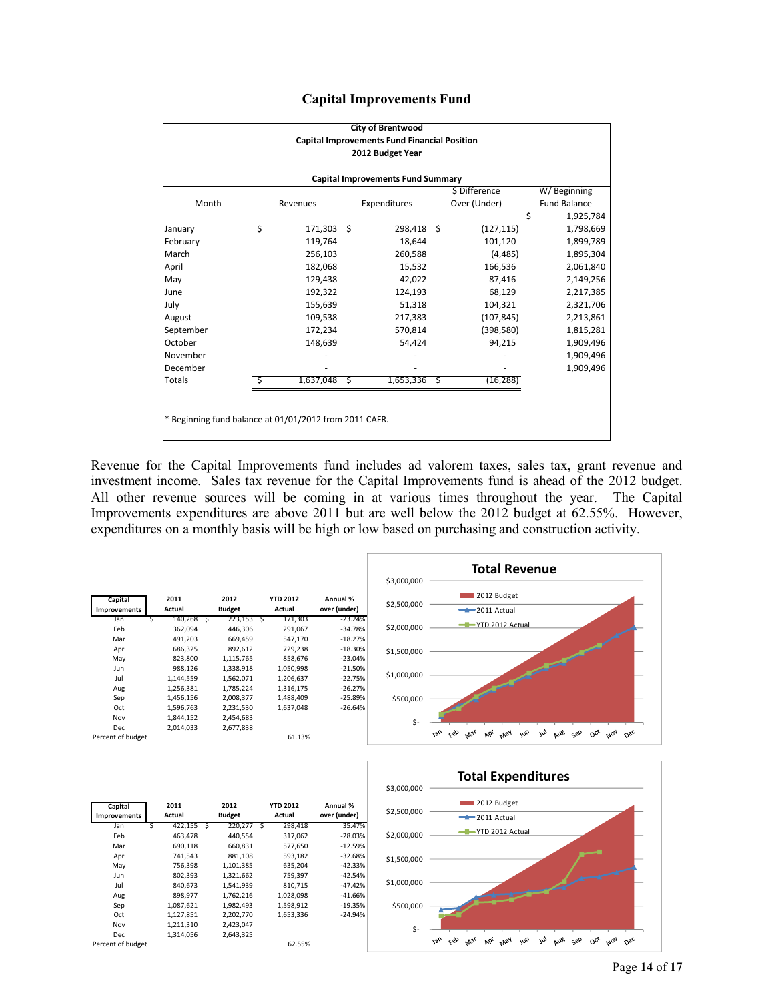|  | <b>Capital Improvements Fund</b> |  |
|--|----------------------------------|--|
|--|----------------------------------|--|

|                                                        |               |    | <b>City of Brentwood</b>                            |                 |   |                     |
|--------------------------------------------------------|---------------|----|-----------------------------------------------------|-----------------|---|---------------------|
|                                                        |               |    | <b>Capital Improvements Fund Financial Position</b> |                 |   |                     |
|                                                        |               |    | 2012 Budget Year                                    |                 |   |                     |
|                                                        |               |    | <b>Capital Improvements Fund Summary</b>            |                 |   |                     |
|                                                        |               |    |                                                     | \$ Difference   |   | W/Beginning         |
| Month                                                  | Revenues      |    | Expenditures                                        | Over (Under)    |   | <b>Fund Balance</b> |
|                                                        |               |    |                                                     |                 | Ś | 1,925,784           |
| January                                                | \$<br>171,303 | -Ś | 298,418 \$                                          | (127, 115)      |   | 1,798,669           |
| February                                               | 119,764       |    | 18,644                                              | 101,120         |   | 1,899,789           |
| March                                                  | 256,103       |    | 260,588                                             | (4, 485)        |   | 1,895,304           |
| April                                                  | 182,068       |    | 15,532                                              | 166,536         |   | 2,061,840           |
| May                                                    | 129,438       |    | 42,022                                              | 87,416          |   | 2,149,256           |
| June                                                   | 192,322       |    | 124,193                                             | 68,129          |   | 2,217,385           |
| July                                                   | 155,639       |    | 51,318                                              | 104,321         |   | 2,321,706           |
| August                                                 | 109,538       |    | 217,383                                             | (107, 845)      |   | 2,213,861           |
| September                                              | 172,234       |    | 570,814                                             | (398, 580)      |   | 1,815,281           |
| October                                                | 148,639       |    | 54,424                                              | 94,215          |   | 1,909,496           |
| November                                               |               |    |                                                     |                 |   | 1,909,496           |
| December                                               |               |    |                                                     |                 |   | 1,909,496           |
| Totals                                                 | 1,637,048     | S  | 1,653,336                                           | \$<br>(16, 288) |   |                     |
|                                                        |               |    |                                                     |                 |   |                     |
|                                                        |               |    |                                                     |                 |   |                     |
| * Beginning fund balance at 01/01/2012 from 2011 CAFR. |               |    |                                                     |                 |   |                     |
|                                                        |               |    |                                                     |                 |   |                     |

Revenue for the Capital Improvements fund includes ad valorem taxes, sales tax, grant revenue and investment income. Sales tax revenue for the Capital Improvements fund is ahead of the 2012 budget. All other revenue sources will be coming in at various times throughout the year. The Capital Improvements expenditures are above 2011 but are well below the 2012 budget at 62.55%. However, expenditures on a monthly basis will be high or low based on purchasing and construction activity.





| Capital             | 2011          |   | 2012          |              | <b>YTD 2012</b> | Annual %     |
|---------------------|---------------|---|---------------|--------------|-----------------|--------------|
| <b>Improvements</b> | Actual        |   | <b>Budget</b> |              | Actual          | over (under) |
| Jan                 | \$<br>422,155 | S | 220,277       | $\mathsf{S}$ | 298,418         | 35.47%       |
| Feb                 | 463,478       |   | 440.554       |              | 317,062         | $-28.03%$    |
| Mar                 | 690,118       |   | 660,831       |              | 577,650         | $-12.59%$    |
| Apr                 | 741,543       |   | 881,108       |              | 593,182         | $-32.68%$    |
| May                 | 756,398       |   | 1,101,385     |              | 635,204         | $-42.33%$    |
| Jun                 | 802,393       |   | 1,321,662     |              | 759,397         | $-42.54%$    |
| Jul                 | 840,673       |   | 1,541,939     |              | 810,715         | $-47.42%$    |
| Aug                 | 898,977       |   | 1,762,216     |              | 1,028,098       | $-41.66%$    |
| Sep                 | 1,087,621     |   | 1,982,493     |              | 1,598,912       | $-19.35%$    |
| Oct                 | 1,127,851     |   | 2,202,770     |              | 1,653,336       | $-24.94%$    |
| Nov                 | 1,211,310     |   | 2,423,047     |              |                 |              |
| Dec                 | 1,314,056     |   | 2,643,325     |              |                 |              |
| Percent of budget   |               |   |               |              | 62.55%          |              |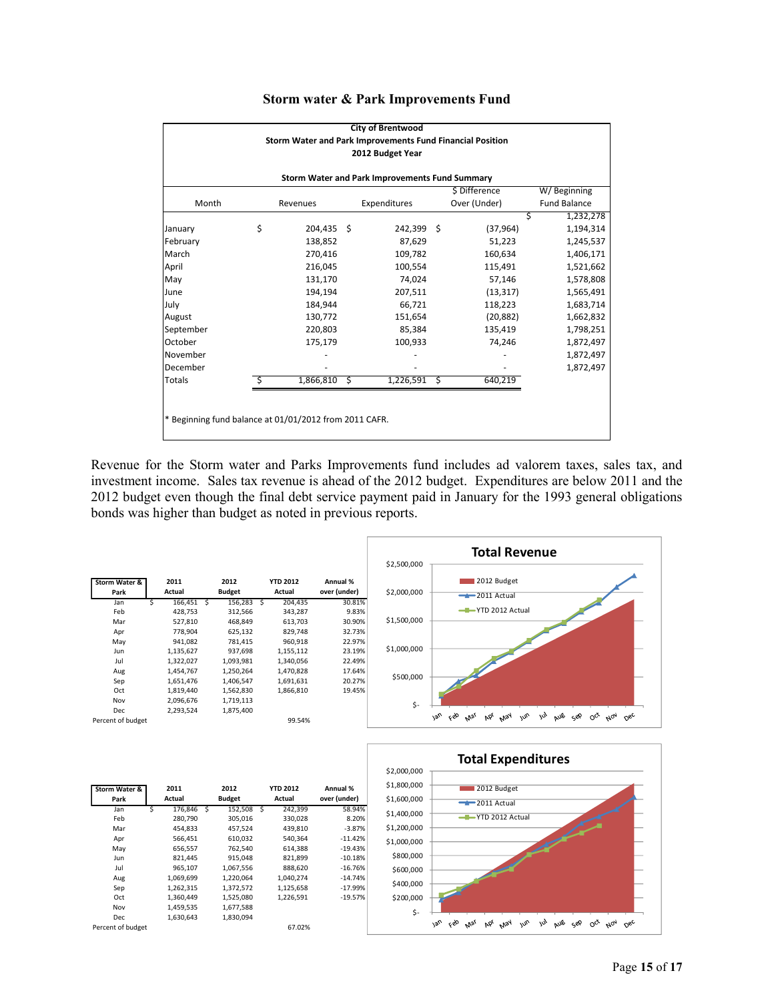|                                                        |                  |   | <b>City of Brentwood</b>                                  |   |               |                     |  |
|--------------------------------------------------------|------------------|---|-----------------------------------------------------------|---|---------------|---------------------|--|
|                                                        |                  |   | Storm Water and Park Improvements Fund Financial Position |   |               |                     |  |
|                                                        |                  |   | 2012 Budget Year                                          |   |               |                     |  |
|                                                        |                  |   |                                                           |   |               |                     |  |
|                                                        |                  |   | Storm Water and Park Improvements Fund Summary            |   |               |                     |  |
|                                                        |                  |   |                                                           |   | \$ Difference | W/Beginning         |  |
| Month                                                  | Revenues         |   | Expenditures                                              |   | Over (Under)  | <b>Fund Balance</b> |  |
|                                                        |                  |   |                                                           |   |               | 1,232,278<br>Ś      |  |
| January                                                | \$<br>204,435 \$ |   | 242,399 \$                                                |   | (37, 964)     | 1,194,314           |  |
| February                                               | 138,852          |   | 87,629                                                    |   | 51,223        | 1,245,537           |  |
| March                                                  | 270,416          |   | 109,782                                                   |   | 160,634       | 1,406,171           |  |
| April                                                  | 216,045          |   | 100,554                                                   |   | 115,491       | 1,521,662           |  |
| May                                                    | 131,170          |   | 74,024                                                    |   | 57,146        | 1,578,808           |  |
| June                                                   | 194,194          |   | 207,511                                                   |   | (13, 317)     | 1,565,491           |  |
| July                                                   | 184,944          |   | 66,721                                                    |   | 118,223       | 1,683,714           |  |
| August                                                 | 130,772          |   | 151,654                                                   |   | (20, 882)     | 1,662,832           |  |
| September                                              | 220,803          |   | 85,384                                                    |   | 135,419       | 1,798,251           |  |
| October                                                | 175,179          |   | 100,933                                                   |   | 74,246        | 1,872,497           |  |
| November                                               |                  |   |                                                           |   |               | 1,872,497           |  |
| December                                               |                  |   |                                                           |   |               | 1,872,497           |  |
| Totals                                                 | 1,866,810        | Ś | 1,226,591                                                 | Ś | 640,219       |                     |  |
|                                                        |                  |   |                                                           |   |               |                     |  |
|                                                        |                  |   |                                                           |   |               |                     |  |
| * Beginning fund balance at 01/01/2012 from 2011 CAFR. |                  |   |                                                           |   |               |                     |  |
|                                                        |                  |   |                                                           |   |               |                     |  |

## **Storm water & Park Improvements Fund**

Revenue for the Storm water and Parks Improvements fund includes ad valorem taxes, sales tax, and investment income. Sales tax revenue is ahead of the 2012 budget. Expenditures are below 2011 and the 2012 budget even though the final debt service payment paid in January for the 1993 general obligations bonds was higher than budget as noted in previous reports.



| Storm Water &     |   | 2011      |   | 2012          |   | <b>YTD 2012</b> | Annual %     |
|-------------------|---|-----------|---|---------------|---|-----------------|--------------|
| Park              |   | Actual    |   | <b>Budget</b> |   | Actual          | over (under) |
| Jan               | Ś | 176,846   | S | 152,508       | Ś | 242,399         | 58.94%       |
| Feb               |   | 280,790   |   | 305,016       |   | 330,028         | 8.20%        |
| Mar               |   | 454,833   |   | 457,524       |   | 439,810         | $-3.87%$     |
| Apr               |   | 566,451   |   | 610,032       |   | 540.364         | $-11.42%$    |
| May               |   | 656,557   |   | 762,540       |   | 614,388         | $-19.43%$    |
| Jun               |   | 821.445   |   | 915,048       |   | 821,899         | $-10.18%$    |
| Jul               |   | 965,107   |   | 1,067,556     |   | 888,620         | $-16.76%$    |
| Aug               |   | 1,069,699 |   | 1,220,064     |   | 1.040.274       | $-14.74%$    |
| Sep               |   | 1,262,315 |   | 1,372,572     |   | 1,125,658       | $-17.99%$    |
| Oct               |   | 1,360,449 |   | 1,525,080     |   | 1,226,591       | $-19.57%$    |
| Nov               |   | 1,459,535 |   | 1,677,588     |   |                 |              |
| Dec               |   | 1,630,643 |   | 1,830,094     |   |                 |              |
| Percent of budget |   |           |   |               |   | 67.02%          |              |

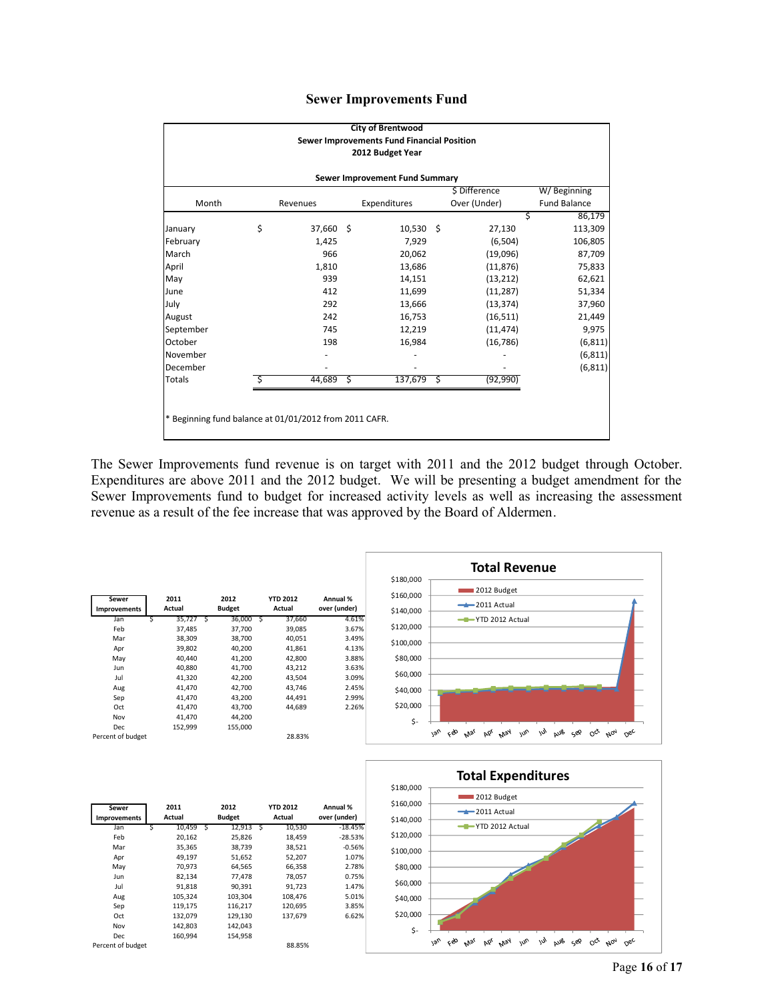|  | <b>Sewer Improvements Fund</b> |  |
|--|--------------------------------|--|
|--|--------------------------------|--|

|                                                        |    |           |     | <b>City of Brentwood</b><br>Sewer Improvements Fund Financial Position |               |                     |
|--------------------------------------------------------|----|-----------|-----|------------------------------------------------------------------------|---------------|---------------------|
|                                                        |    |           |     | 2012 Budget Year                                                       |               |                     |
|                                                        |    |           |     | Sewer Improvement Fund Summary                                         |               |                     |
|                                                        |    |           |     |                                                                        | \$ Difference | W/Beginning         |
| Month                                                  |    | Revenues  |     | Expenditures                                                           | Over (Under)  | <b>Fund Balance</b> |
|                                                        |    |           |     |                                                                        | Ś             | 86,179              |
| January                                                | \$ | 37,660 \$ |     | $10,530 \; \xi$                                                        | 27,130        | 113,309             |
| February                                               |    | 1,425     |     | 7,929                                                                  | (6,504)       | 106,805             |
| March                                                  |    | 966       |     | 20,062                                                                 | (19,096)      | 87,709              |
| April                                                  |    | 1,810     |     | 13,686                                                                 | (11, 876)     | 75,833              |
| May                                                    |    | 939       |     | 14,151                                                                 | (13, 212)     | 62,621              |
| June                                                   |    | 412       |     | 11,699                                                                 | (11, 287)     | 51,334              |
| July                                                   |    | 292       |     | 13,666                                                                 | (13, 374)     | 37,960              |
| August                                                 |    | 242       |     | 16,753                                                                 | (16, 511)     | 21,449              |
| September                                              |    | 745       |     | 12,219                                                                 | (11, 474)     | 9,975               |
| October                                                |    | 198       |     | 16,984                                                                 | (16, 786)     | (6, 811)            |
| November                                               |    |           |     |                                                                        |               | (6, 811)            |
| December                                               |    |           |     |                                                                        |               | (6, 811)            |
| <b>Totals</b>                                          | S. | 44,689    | \$. | 137,679 \$                                                             | (92, 990)     |                     |
|                                                        |    |           |     |                                                                        |               |                     |
|                                                        |    |           |     |                                                                        |               |                     |
| * Beginning fund balance at 01/01/2012 from 2011 CAFR. |    |           |     |                                                                        |               |                     |
|                                                        |    |           |     |                                                                        |               |                     |

The Sewer Improvements fund revenue is on target with 2011 and the 2012 budget through October. Expenditures are above 2011 and the 2012 budget. We will be presenting a budget amendment for the Sewer Improvements fund to budget for increased activity levels as well as increasing the assessment revenue as a result of the fee increase that was approved by the Board of Aldermen.



| Sewer<br>Improvements |   | 2011<br>Actual | 2012<br><b>Budget</b> | <b>YTD 2012</b><br>Actual | Annual %<br>over (under) |
|-----------------------|---|----------------|-----------------------|---------------------------|--------------------------|
| Jan                   | s | 10,459 S       | 12,913 S              | 10,530                    | -18.45%                  |
| Feb                   |   | 20,162         | 25,826                | 18,459                    | $-28.53%$                |
| Mar                   |   | 35,365         | 38,739                | 38,521                    | $-0.56%$                 |
| Apr                   |   | 49,197         | 51,652                | 52,207                    | 1.07%                    |
| May                   |   | 70,973         | 64,565                | 66,358                    | 2.78%                    |
| Jun                   |   | 82,134         | 77,478                | 78,057                    | 0.75%                    |
| Jul                   |   | 91,818         | 90,391                | 91,723                    | 1.47%                    |
| Aug                   |   | 105,324        | 103,304               | 108,476                   | 5.01%                    |
| Sep                   |   | 119,175        | 116,217               | 120,695                   | 3.85%                    |
| Oct                   |   | 132,079        | 129,130               | 137,679                   | 6.62%                    |
| Nov                   |   | 142,803        | 142,043               |                           |                          |
| Dec                   |   | 160,994        | 154,958               |                           |                          |
| Percent of budget     |   |                |                       | 88.85%                    |                          |